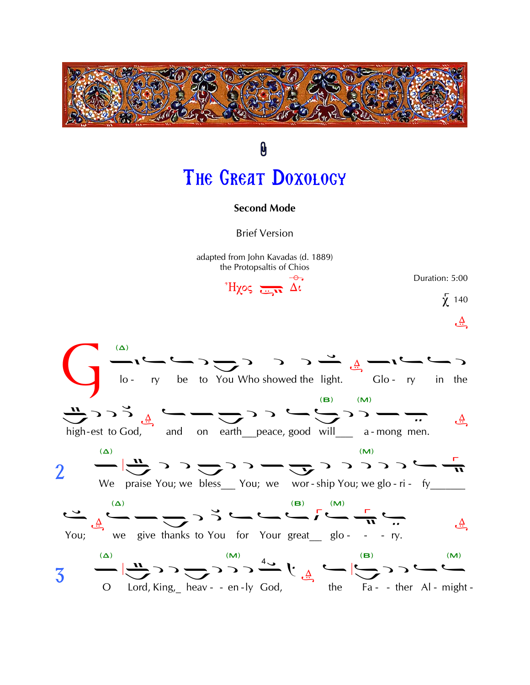

## 0 THE GREAT DOXOLOGY

## **Second Mode**

**Brief Version** 

adapted from John Kavadas (d. 1889) the Protopsaltis of Chios

 $H\chi$ os  $\frac{1}{\sqrt{2\pi}} \overrightarrow{\Delta}$ 



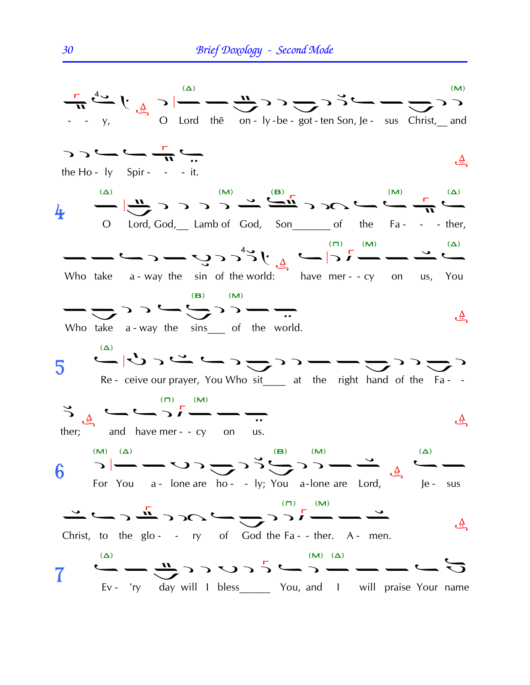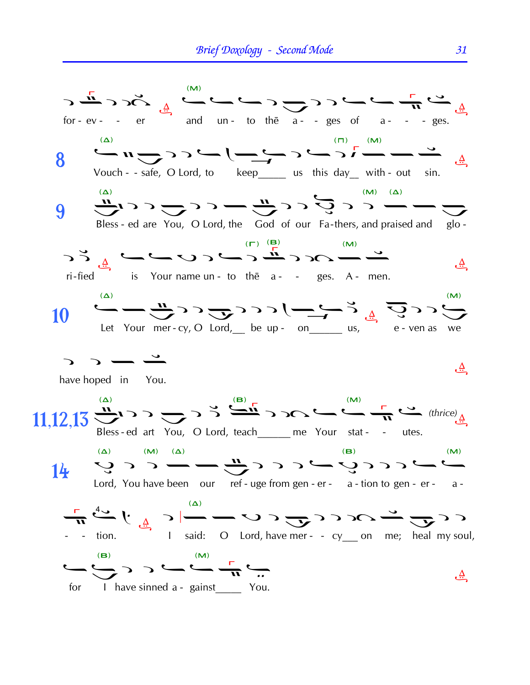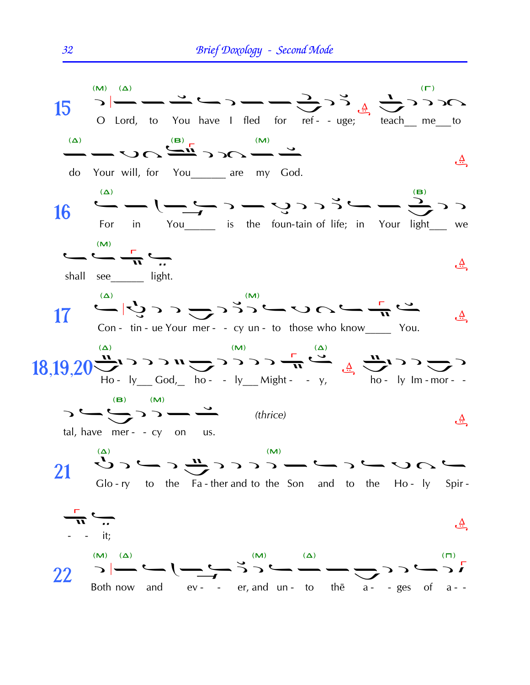

32